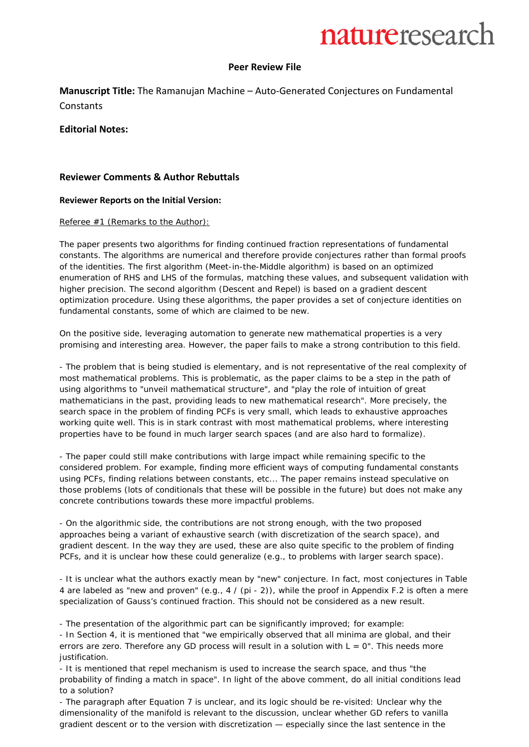#### **Peer Review File**

**Manuscript Title:** The Ramanujan Machine – Auto-Generated Conjectures on Fundamental **Constants** 

#### **Editorial Notes:**

#### **Reviewer Comments & Author Rebuttals**

#### **Reviewer Reports on the Initial Version:**

#### Referee #1 (Remarks to the Author):

The paper presents two algorithms for finding continued fraction representations of fundamental constants. The algorithms are numerical and therefore provide conjectures rather than formal proofs of the identities. The first algorithm (Meet-in-the-Middle algorithm) is based on an optimized enumeration of RHS and LHS of the formulas, matching these values, and subsequent validation with higher precision. The second algorithm (Descent and Repel) is based on a gradient descent optimization procedure. Using these algorithms, the paper provides a set of conjecture identities on fundamental constants, some of which are claimed to be new.

On the positive side, leveraging automation to generate new mathematical properties is a very promising and interesting area. However, the paper fails to make a strong contribution to this field.

- The problem that is being studied is elementary, and is not representative of the real complexity of most mathematical problems. This is problematic, as the paper claims to be a step in the path of using algorithms to "unveil mathematical structure", and "play the role of intuition of great mathematicians in the past, providing leads to new mathematical research". More precisely, the search space in the problem of finding PCFs is very small, which leads to exhaustive approaches working quite well. This is in stark contrast with most mathematical problems, where interesting properties have to be found in much larger search spaces (and are also hard to formalize).

- The paper could still make contributions with large impact while remaining specific to the considered problem. For example, finding more efficient ways of computing fundamental constants using PCFs, finding relations between constants, etc... The paper remains instead speculative on those problems (lots of conditionals that these will be possible in the future) but does not make any concrete contributions towards these more impactful problems.

- On the algorithmic side, the contributions are not strong enough, with the two proposed approaches being a variant of exhaustive search (with discretization of the search space), and gradient descent. In the way they are used, these are also quite specific to the problem of finding PCFs, and it is unclear how these could generalize (e.g., to problems with larger search space).

- It is unclear what the authors exactly mean by "new" conjecture. In fact, most conjectures in Table 4 are labeled as "new and proven" (e.g., 4 / (pi - 2)), while the proof in Appendix F.2 is often a mere specialization of Gauss's continued fraction. This should not be considered as a new result.

- The presentation of the algorithmic part can be significantly improved; for example:

- In Section 4, it is mentioned that "we empirically observed that all minima are global, and their errors are zero. Therefore any GD process will result in a solution with  $L = 0$ ". This needs more justification.

- It is mentioned that repel mechanism is used to increase the search space, and thus "the probability of finding a match in space". In light of the above comment, do all initial conditions lead to a solution?

- The paragraph after Equation 7 is unclear, and its logic should be re-visited: Unclear why the dimensionality of the manifold is relevant to the discussion, unclear whether GD refers to vanilla gradient descent or to the version with discretization — especially since the last sentence in the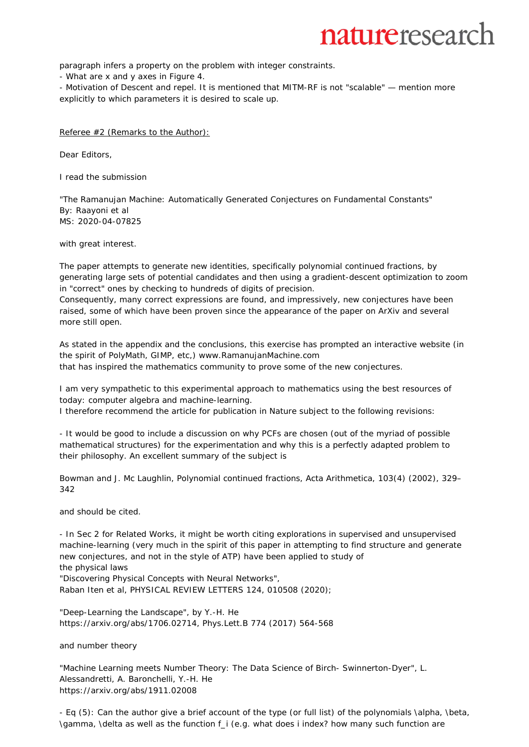paragraph infers a property on the problem with integer constraints.

- What are x and y axes in Figure 4.

- Motivation of Descent and repel. It is mentioned that MITM-RF is not "scalable" — mention more explicitly to which parameters it is desired to scale up.

Referee #2 (Remarks to the Author):

Dear Editors,

I read the submission

"The Ramanujan Machine: Automatically Generated Conjectures on Fundamental Constants" By: Raayoni et al MS: 2020-04-07825

with great interest.

The paper attempts to generate new identities, specifically polynomial continued fractions, by generating large sets of potential candidates and then using a gradient-descent optimization to zoom in "correct" ones by checking to hundreds of digits of precision.

Consequently, many correct expressions are found, and impressively, new conjectures have been raised, some of which have been proven since the appearance of the paper on ArXiv and several more still open.

As stated in the appendix and the conclusions, this exercise has prompted an interactive website (in the spirit of PolyMath, GIMP, etc,) www.RamanujanMachine.com

that has inspired the mathematics community to prove some of the new conjectures.

I am very sympathetic to this experimental approach to mathematics using the best resources of today: computer algebra and machine-learning.

I therefore recommend the article for publication in Nature subject to the following revisions:

- It would be good to include a discussion on why PCFs are chosen (out of the myriad of possible mathematical structures) for the experimentation and why this is a perfectly adapted problem to their philosophy. An excellent summary of the subject is

Bowman and J. Mc Laughlin, Polynomial continued fractions, Acta Arithmetica, 103(4) (2002), 329– 342

and should be cited.

- In Sec 2 for Related Works, it might be worth citing explorations in supervised and unsupervised machine-learning (very much in the spirit of this paper in attempting to find structure and generate new conjectures, and not in the style of ATP) have been applied to study of the physical laws

"Discovering Physical Concepts with Neural Networks",

Raban Iten et al, PHYSICAL REVIEW LETTERS 124, 010508 (2020);

"Deep-Learning the Landscape", by Y.-H. He https://arxiv.org/abs/1706.02714, Phys.Lett.B 774 (2017) 564-568

and number theory

"Machine Learning meets Number Theory: The Data Science of Birch- Swinnerton-Dyer", L. Alessandretti, A. Baronchelli, Y.-H. He https://arxiv.org/abs/1911.02008

- Eq (5): Can the author give a brief account of the type (or full list) of the polynomials \alpha, \beta, \gamma, \delta as well as the function f\_i (e.g. what does i index? how many such function are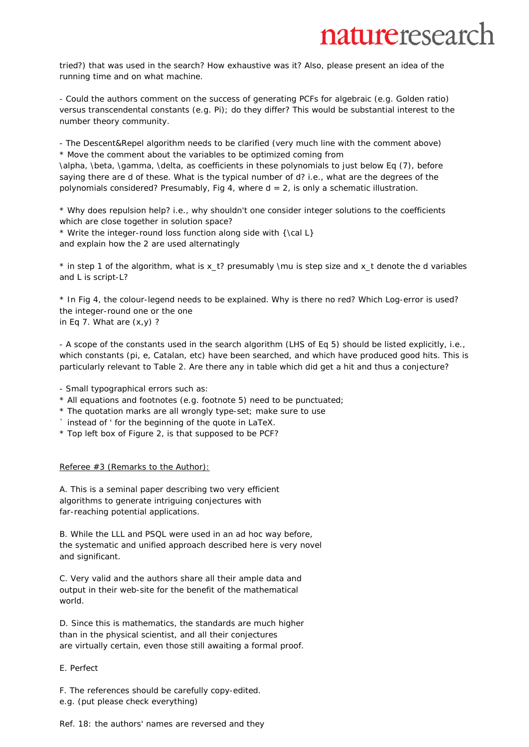## naturereseard

tried?) that was used in the search? How exhaustive was it? Also, please present an idea of the running time and on what machine.

- Could the authors comment on the success of generating PCFs for algebraic (e.g. Golden ratio) versus transcendental constants (e.g. Pi); do they differ? This would be substantial interest to the number theory community.

- The Descent&Repel algorithm needs to be clarified (very much line with the comment above) \* Move the comment about the variables to be optimized coming from \alpha, \beta, \gamma, \delta, as coefficients in these polynomials to just below Eq (7), before saying there are d of these. What is the typical number of d? i.e., what are the degrees of the polynomials considered? Presumably, Fig 4, where  $d = 2$ , is only a schematic illustration.

\* Why does repulsion help? i.e., why shouldn't one consider integer solutions to the coefficients which are close together in solution space?

\* Write the integer-round loss function along side with {\cal L} and explain how the 2 are used alternatingly

\* in step 1 of the algorithm, what is x\_t? presumably \mu is step size and x\_t denote the d variables and L is script-L?

\* In Fig 4, the colour-legend needs to be explained. Why is there no red? Which Log-error is used? the integer-round one or the one in Eq 7. What are (x,y) ?

- A scope of the constants used in the search algorithm (LHS of Eq 5) should be listed explicitly, i.e., which constants (pi, e, Catalan, etc) have been searched, and which have produced good hits. This is particularly relevant to Table 2. Are there any in table which did get a hit and thus a conjecture?

- Small typographical errors such as:

- \* All equations and footnotes (e.g. footnote 5) need to be punctuated;
- \* The quotation marks are all wrongly type-set; make sure to use
- ` instead of ' for the beginning of the quote in LaTeX.
- \* Top left box of Figure 2, is that supposed to be PCF?

#### Referee #3 (Remarks to the Author):

A. This is a seminal paper describing two very efficient algorithms to generate intriguing conjectures with far-reaching potential applications.

B. While the LLL and PSQL were used in an ad hoc way before, the systematic and unified approach described here is very novel and significant.

C. Very valid and the authors share all their ample data and output in their web-site for the benefit of the mathematical world.

D. Since this is mathematics, the standards are much higher than in the physical scientist, and all their conjectures are virtually certain, even those still awaiting a formal proof.

#### E. Perfect

F. The references should be carefully copy-edited.

e.g. (put please check everything)

Ref. 18: the authors' names are reversed and they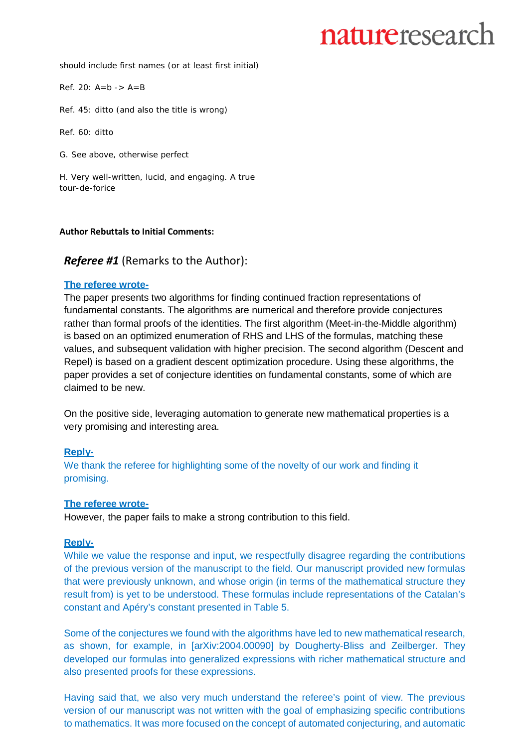should include first names (or at least first initial)

Ref. 20: A=b -> A=B

Ref. 45: ditto (and also the title is wrong)

Ref. 60: ditto

G. See above, otherwise perfect

H. Very well-written, lucid, and engaging. A true tour-de-forice

#### **Author Rebuttals to Initial Comments:**

## *Referee #1* (Remarks to the Author):

#### **The referee wrote-**

The paper presents two algorithms for finding continued fraction representations of fundamental constants. The algorithms are numerical and therefore provide conjectures rather than formal proofs of the identities. The first algorithm (Meet-in-the-Middle algorithm) is based on an optimized enumeration of RHS and LHS of the formulas, matching these values, and subsequent validation with higher precision. The second algorithm (Descent and Repel) is based on a gradient descent optimization procedure. Using these algorithms, the paper provides a set of conjecture identities on fundamental constants, some of which are claimed to be new.

On the positive side, leveraging automation to generate new mathematical properties is a very promising and interesting area.

#### **Reply-**

We thank the referee for highlighting some of the novelty of our work and finding it promising.

#### **The referee wrote-**

However, the paper fails to make a strong contribution to this field.

## **Reply-**

While we value the response and input, we respectfully disagree regarding the contributions of the previous version of the manuscript to the field. Our manuscript provided new formulas that were previously unknown, and whose origin (in terms of the mathematical structure they result from) is yet to be understood. These formulas include representations of the Catalan's constant and Apéry's constant presented in Table 5.

Some of the conjectures we found with the algorithms have led to new mathematical research, as shown, for example, in [\[arXiv:2004.00090\]](https://arxiv.org/abs/2004.00090v3) by [Dougherty-Bliss](https://arxiv.org/search/math?searchtype=author&query=Dougherty-Bliss%2C%2BR) and [Zeilberger.](https://arxiv.org/search/math?searchtype=author&query=Zeilberger%2C%2BD) They developed our formulas into generalized expressions with richer mathematical structure and also presented proofs for these expressions.

Having said that, we also very much understand the referee's point of view. The previous version of our manuscript was not written with the goal of emphasizing specific contributions to mathematics. It was more focused on the concept of automated conjecturing, and automatic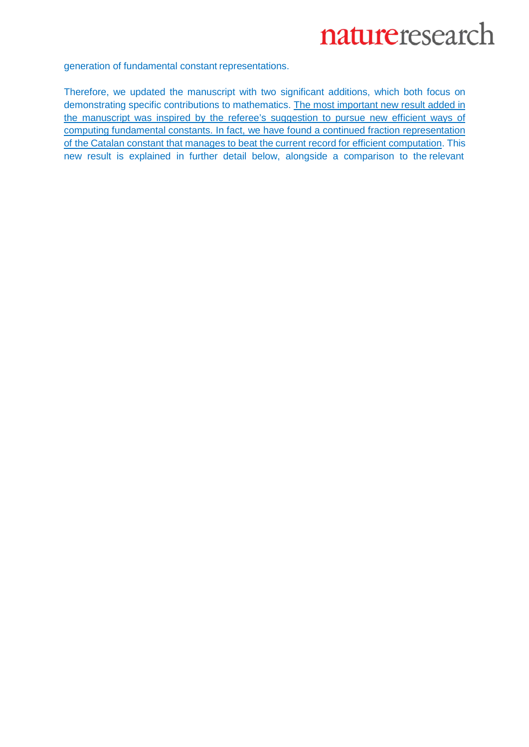generation of fundamental constant representations.

Therefore, we updated the manuscript with two significant additions, which both focus on demonstrating specific contributions to mathematics. The most important new result added in the manuscript was inspired by the referee's suggestion to pursue new efficient ways of computing fundamental constants. In fact, we have found a continued fraction representation of the Catalan constant that manages to beat the current record for efficient computation. This new result is explained in further detail below, alongside a comparison to the relevant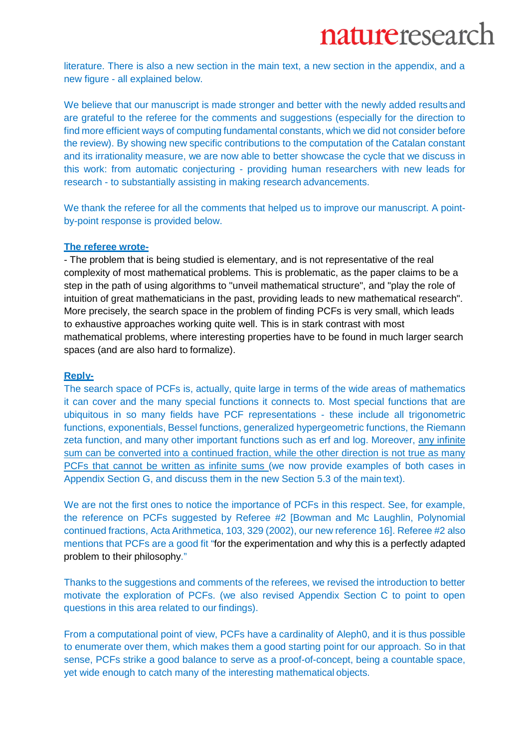literature. There is also a new section in the main text, a new section in the appendix, and a new figure - all explained below.

We believe that our manuscript is made stronger and better with the newly added resultsand are grateful to the referee for the comments and suggestions (especially for the direction to find more efficient ways of computing fundamental constants, which we did not consider before the review). By showing new specific contributions to the computation of the Catalan constant and its irrationality measure, we are now able to better showcase the cycle that we discuss in this work: from automatic conjecturing - providing human researchers with new leads for research - to substantially assisting in making research advancements.

We thank the referee for all the comments that helped us to improve our manuscript. A pointby-point response is provided below.

#### **The referee wrote-**

- The problem that is being studied is elementary, and is not representative of the real complexity of most mathematical problems. This is problematic, as the paper claims to be a step in the path of using algorithms to "unveil mathematical structure", and "play the role of intuition of great mathematicians in the past, providing leads to new mathematical research". More precisely, the search space in the problem of finding PCFs is very small, which leads to exhaustive approaches working quite well. This is in stark contrast with most mathematical problems, where interesting properties have to be found in much larger search spaces (and are also hard to formalize).

### **Reply-**

The search space of PCFs is, actually, quite large in terms of the wide areas of mathematics it can cover and the many special functions it connects to. Most special functions that are ubiquitous in so many fields have PCF representations - these include all trigonometric functions, exponentials, Bessel functions, generalized hypergeometric functions, the Riemann zeta function, and many other important functions such as erf and log. Moreover, any infinite sum can be converted into a continued fraction, while the other direction is not true as many PCFs that cannot be written as infinite sums (we now provide examples of both cases in Appendix Section G, and discuss them in the new Section 5.3 of the main text).

We are not the first ones to notice the importance of PCFs in this respect. See, for example, the reference on PCFs suggested by Referee #2 [Bowman and Mc Laughlin, Polynomial continued fractions, Acta Arithmetica, 103, 329 (2002), our new reference 16]. Referee #2 also mentions that PCFs are a good fit "for the experimentation and why this is a perfectly adapted problem to their philosophy."

Thanks to the suggestions and comments of the referees, we revised the introduction to better motivate the exploration of PCFs. (we also revised Appendix Section C to point to open questions in this area related to our findings).

From a computational point of view, PCFs have a cardinality of Aleph0, and it is thus possible to enumerate over them, which makes them a good starting point for our approach. So in that sense, PCFs strike a good balance to serve as a proof-of-concept, being a countable space, yet wide enough to catch many of the interesting mathematical objects.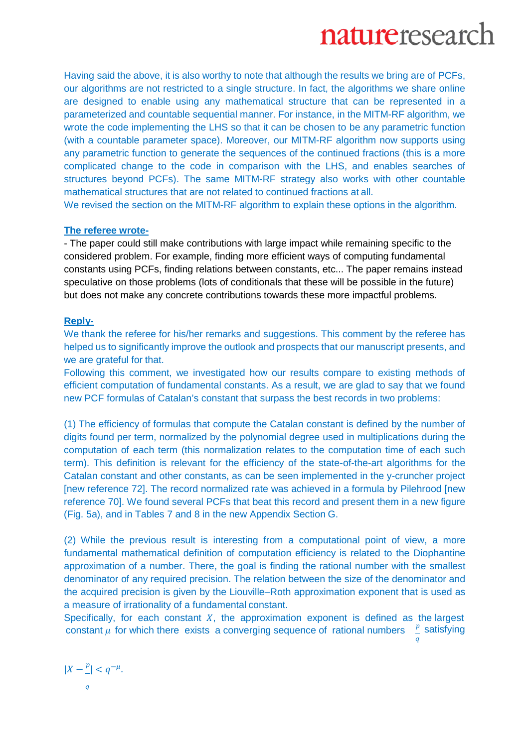Having said the above, it is also worthy to note that although the results we bring are of PCFs, our algorithms are not restricted to a single structure. In fact, the algorithms we share online are designed to enable using any mathematical structure that can be represented in a parameterized and countable sequential manner. For instance, in the MITM-RF algorithm, we wrote the code implementing the LHS so that it can be chosen to be any parametric function (with a countable parameter space). Moreover, our MITM-RF algorithm now supports using any parametric function to generate the sequences of the continued fractions (this is a more complicated change to the code in comparison with the LHS, and enables searches of structures beyond PCFs). The same MITM-RF strategy also works with other countable mathematical structures that are not related to continued fractions at all.

We revised the section on the MITM-RF algorithm to explain these options in the algorithm.

#### **The referee wrote-**

- The paper could still make contributions with large impact while remaining specific to the considered problem. For example, finding more efficient ways of computing fundamental constants using PCFs, finding relations between constants, etc... The paper remains instead speculative on those problems (lots of conditionals that these will be possible in the future) but does not make any concrete contributions towards these more impactful problems.

#### **Reply-**

We thank the referee for his/her remarks and suggestions. This comment by the referee has helped us to significantly improve the outlook and prospects that our manuscript presents, and we are grateful for that.

Following this comment, we investigated how our results compare to existing methods of efficient computation of fundamental constants. As a result, we are glad to say that we found new PCF formulas of Catalan's constant that surpass the best records in two problems:

(1) The efficiency of formulas that compute the Catalan constant is defined by the number of digits found per term, normalized by the polynomial degree used in multiplications during the computation of each term (this normalization relates to the computation time of each such term). This definition is relevant for the efficiency of the state-of-the-art algorithms for the Catalan constant and other constants, as can be seen implemented in the y-cruncher project [new reference 72]. The record normalized rate was achieved in a formula by Pilehrood [new reference 70]. We found several PCFs that beat this record and present them in a new figure (Fig. 5a), and in Tables 7 and 8 in the new Appendix Section G.

(2) While the previous result is interesting from a computational point of view, a more fundamental mathematical definition of computation efficiency is related to the Diophantine approximation of a number. There, the goal is finding the rational number with the smallest denominator of any required precision. The relation between the size of the denominator and the acquired precision is given by the Liouville–Roth approximation exponent that is used as a measure of irrationality of a fundamental constant.

Specifically, for each constant  $X$ , the approximation exponent is defined as the largest constant  $\mu$  for which there exists a converging sequence of rational numbers  $\frac{p}{q}$ satisfying

 $|X - \frac{p}{-}| < q^{-\mu}.$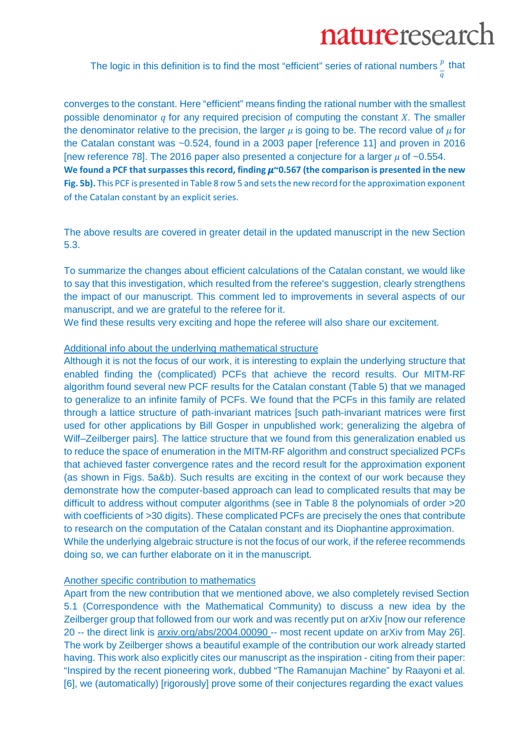The logic in this definition is to find the most "efficient" series of rational numbers  $_{-}^{p}$  that  $\boldsymbol{q}$ 

converges to the constant. Here "efficient" means finding the rational number with the smallest possible denominator  $q$  for any required precision of computing the constant  $X$ . The smaller the denominator relative to the precision, the larger  $\mu$  is going to be. The record value of  $\mu$  for the Catalan constant was ~0.524, found in a 2003 paper [reference 11] and proven in 2016 [new reference 78]. The 2016 paper also presented a conjecture for a larger  $\mu$  of ~0.554. We found a PCF that surpasses this record, finding  $\mu$ ~0.567 (the comparison is presented in the new **Fig. 5b).** This PCF is presented in Table 8 row 5 and sets the new record for the approximation exponent of the Catalan constant by an explicit series.

The above results are covered in greater detail in the updated manuscript in the new Section 5.3.

To summarize the changes about efficient calculations of the Catalan constant, we would like to say that this investigation, which resulted from the referee's suggestion, clearly strengthens the impact of our manuscript. This comment led to improvements in several aspects of our manuscript, and we are grateful to the referee for it.

We find these results very exciting and hope the referee will also share our excitement.

## Additional info about the underlying mathematical structure

Although it is not the focus of our work, it is interesting to explain the underlying structure that enabled finding the (complicated) PCFs that achieve the record results. Our MITM-RF algorithm found several new PCF results for the Catalan constant (Table 5) that we managed to generalize to an infinite family of PCFs. We found that the PCFs in this family are related through a lattice structure of path-invariant matrices [such path-invariant matrices were first used for other applications by Bill Gosper in unpublished work; generalizing the algebra of Wilf–Zeilberger pairs]. The lattice structure that we found from this generalization enabled us to reduce the space of enumeration in the MITM-RF algorithm and construct specialized PCFs that achieved faster convergence rates and the record result for the approximation exponent (as shown in Figs. 5a&b). Such results are exciting in the context of our work because they demonstrate how the computer-based approach can lead to complicated results that may be difficult to address without computer algorithms (see in Table 8 the polynomials of order >20 with coefficients of >30 digits). These complicated PCFs are precisely the ones that contribute to research on the computation of the Catalan constant and its Diophantine approximation. While the underlying algebraic structure is not the focus of our work, if the referee recommends doing so, we can further elaborate on it in the manuscript.

#### Another specific contribution to mathematics

Apart from the new contribution that we mentioned above, we also completely revised Section 5.1 (Correspondence with the Mathematical Community) to discuss a new idea by the Zeilberger group that followed from our work and was recently put on arXiv [now our reference 20 -- the direct link is [arxiv.org/abs/2004.00090 -](https://arxiv.org/abs/2004.00090)- most recent update on arXiv from May 26]. The work by Zeilberger shows a beautiful example of the contribution our work already started having. This work also explicitly cites our manuscript as the inspiration - citing from their paper: "Inspired by the recent pioneering work, dubbed "The Ramanujan Machine" by Raayoni et al. [6], we (automatically) [rigorously] prove some of their conjectures regarding the exact values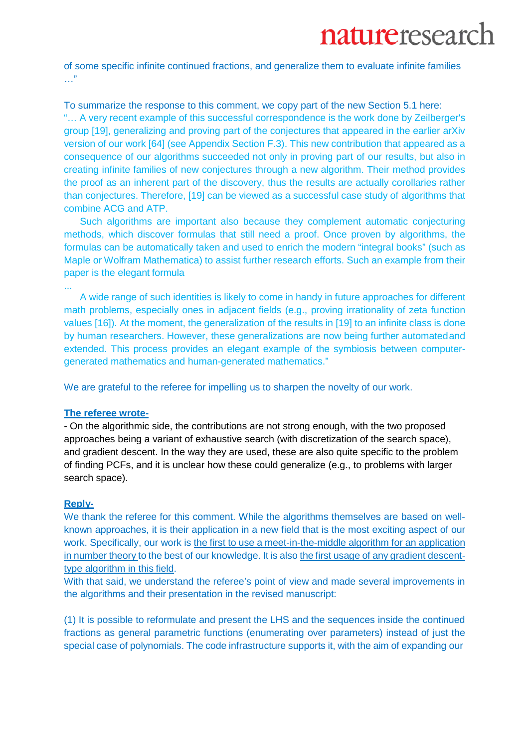## naturereseard

of some specific infinite continued fractions, and generalize them to evaluate infinite families …"

To summarize the response to this comment, we copy part of the new Section 5.1 here: "… A very recent example of this successful correspondence is the work done by Zeilberger's group [19], generalizing and proving part of the conjectures that appeared in the earlier arXiv version of our work [64] (see Appendix Section F.3). This new contribution that appeared as a consequence of our algorithms succeeded not only in proving part of our results, but also in creating infinite families of new conjectures through a new algorithm. Their method provides the proof as an inherent part of the discovery, thus the results are actually corollaries rather than conjectures. Therefore, [19] can be viewed as a successful case study of algorithms that combine ACG and ATP.

Such algorithms are important also because they complement automatic conjecturing methods, which discover formulas that still need a proof. Once proven by algorithms, the formulas can be automatically taken and used to enrich the modern "integral books" (such as Maple or Wolfram Mathematica) to assist further research efforts. Such an example from their paper is the elegant formula

... A wide range of such identities is likely to come in handy in future approaches for different math problems, especially ones in adjacent fields (e.g., proving irrationality of zeta function values [16]). At the moment, the generalization of the results in [19] to an infinite class is done by human researchers. However, these generalizations are now being further automatedand extended. This process provides an elegant example of the symbiosis between computergenerated mathematics and human-generated mathematics."

We are grateful to the referee for impelling us to sharpen the novelty of our work.

## **The referee wrote-**

- On the algorithmic side, the contributions are not strong enough, with the two proposed approaches being a variant of exhaustive search (with discretization of the search space), and gradient descent. In the way they are used, these are also quite specific to the problem of finding PCFs, and it is unclear how these could generalize (e.g., to problems with larger search space).

## **Reply-**

We thank the referee for this comment. While the algorithms themselves are based on wellknown approaches, it is their application in a new field that is the most exciting aspect of our work. Specifically, our work is the first to use a meet-in-the-middle algorithm for an application in number theory to the best of our knowledge. It is also the first usage of any gradient descenttype algorithm in this field.

With that said, we understand the referee's point of view and made several improvements in the algorithms and their presentation in the revised manuscript:

(1) It is possible to reformulate and present the LHS and the sequences inside the continued fractions as general parametric functions (enumerating over parameters) instead of just the special case of polynomials. The code infrastructure supports it, with the aim of expanding our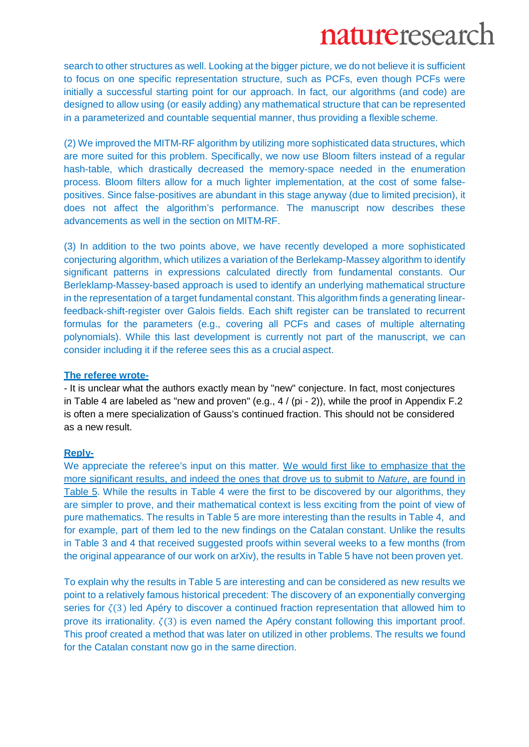search to other structures as well. Looking at the bigger picture, we do not believe it is sufficient to focus on one specific representation structure, such as PCFs, even though PCFs were initially a successful starting point for our approach. In fact, our algorithms (and code) are designed to allow using (or easily adding) any mathematical structure that can be represented in a parameterized and countable sequential manner, thus providing a flexible scheme.

(2) We improved the MITM-RF algorithm by utilizing more sophisticated data structures, which are more suited for this problem. Specifically, we now use Bloom filters instead of a regular hash-table, which drastically decreased the memory-space needed in the enumeration process. Bloom filters allow for a much lighter implementation, at the cost of some falsepositives. Since false-positives are abundant in this stage anyway (due to limited precision), it does not affect the algorithm's performance. The manuscript now describes these advancements as well in the section on MITM-RF.

(3) In addition to the two points above, we have recently developed a more sophisticated conjecturing algorithm, which utilizes a variation of the Berlekamp-Massey algorithm to identify significant patterns in expressions calculated directly from fundamental constants. Our Berleklamp-Massey-based approach is used to identify an underlying mathematical structure in the representation of a target fundamental constant. This algorithm finds a generating linearfeedback-shift-register over Galois fields. Each shift register can be translated to recurrent formulas for the parameters (e.g., covering all PCFs and cases of multiple alternating polynomials). While this last development is currently not part of the manuscript, we can consider including it if the referee sees this as a crucial aspect.

### **The referee wrote-**

- It is unclear what the authors exactly mean by "new" conjecture. In fact, most conjectures in Table 4 are labeled as "new and proven" (e.g., 4 / (pi - 2)), while the proof in Appendix F.2 is often a mere specialization of Gauss's continued fraction. This should not be considered as a new result.

## **Reply-**

We appreciate the referee's input on this matter. We would first like to emphasize that the more significant results, and indeed the ones that drove us to submit to *Nature*, are found in Table 5. While the results in Table 4 were the first to be discovered by our algorithms, they are simpler to prove, and their mathematical context is less exciting from the point of view of pure mathematics. The results in Table 5 are more interesting than the results in Table 4, and for example, part of them led to the new findings on the Catalan constant. Unlike the results in Table 3 and 4 that received suggested proofs within several weeks to a few months (from the original appearance of our work on arXiv), the results in Table 5 have not been proven yet.

To explain why the results in Table 5 are interesting and can be considered as new results we point to a relatively famous historical precedent: The discovery of an exponentially converging series for  $\zeta(3)$  led Apéry to discover a continued fraction representation that allowed him to prove its irrationality.  $\zeta(3)$  is even named the Apéry constant following this important proof. This proof created a method that was later on utilized in other problems. The results we found for the Catalan constant now go in the same direction.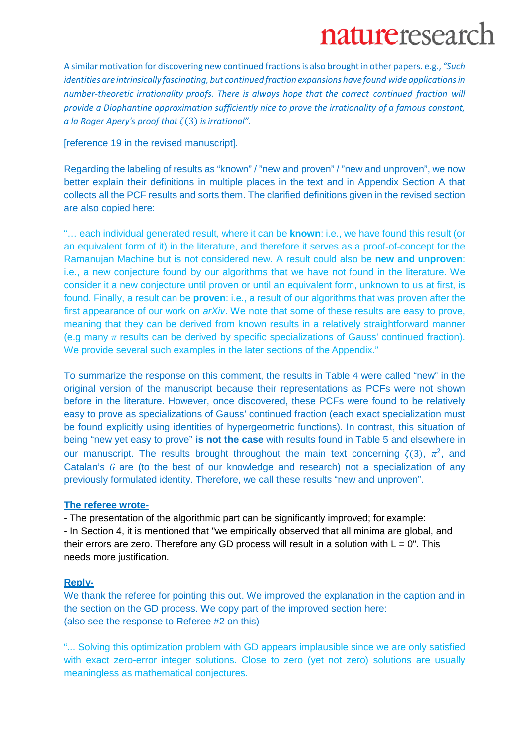A similar motivation for discovering new continued fractions is also brought in other papers. e.g., *"Such identities are intrinsically fascinating, but continuedfraction expansions have found wide applicationsin number-theoretic irrationality proofs. There is always hope that the correct continued fraction will provide a Diophantine approximation sufficiently nice to prove the irrationality of a famous constant, a la Roger Apery's proof that* (3) *isirrational".*

[reference 19 in the revised manuscript].

Regarding the labeling of results as "known" / "new and proven" / "new and unproven", we now better explain their definitions in multiple places in the text and in Appendix Section A that collects all the PCF results and sorts them. The clarified definitions given in the revised section are also copied here:

"… each individual generated result, where it can be **known**: i.e., we have found this result (or an equivalent form of it) in the literature, and therefore it serves as a proof-of-concept for the Ramanujan Machine but is not considered new. A result could also be **new and unproven**: i.e., a new conjecture found by our algorithms that we have not found in the literature. We consider it a new conjecture until proven or until an equivalent form, unknown to us at first, is found. Finally, a result can be **proven**: i.e., a result of our algorithms that was proven after the first appearance of our work on *arXiv*. We note that some of these results are easy to prove, meaning that they can be derived from known results in a relatively straightforward manner (e.g many  $\pi$  results can be derived by specific specializations of Gauss' continued fraction). We provide several such examples in the later sections of the Appendix."

To summarize the response on this comment, the results in Table 4 were called "new" in the original version of the manuscript because their representations as PCFs were not shown before in the literature. However, once discovered, these PCFs were found to be relatively easy to prove as specializations of Gauss' continued fraction (each exact specialization must be found explicitly using identities of hypergeometric functions). In contrast, this situation of being "new yet easy to prove" **is not the case** with results found in Table 5 and elsewhere in our manuscript. The results brought throughout the main text concerning  $\zeta(3)$ ,  $\pi^2$ , and Catalan's  $G$  are (to the best of our knowledge and research) not a specialization of any previously formulated identity. Therefore, we call these results "new and unproven".

## **The referee wrote-**

- The presentation of the algorithmic part can be significantly improved; for example: - In Section 4, it is mentioned that "we empirically observed that all minima are global, and their errors are zero. Therefore any GD process will result in a solution with  $L = 0$ ". This needs more justification.

## **Reply-**

We thank the referee for pointing this out. We improved the explanation in the caption and in the section on the GD process. We copy part of the improved section here: (also see the response to Referee #2 on this)

"... Solving this optimization problem with GD appears implausible since we are only satisfied with exact zero-error integer solutions. Close to zero (yet not zero) solutions are usually meaningless as mathematical conjectures.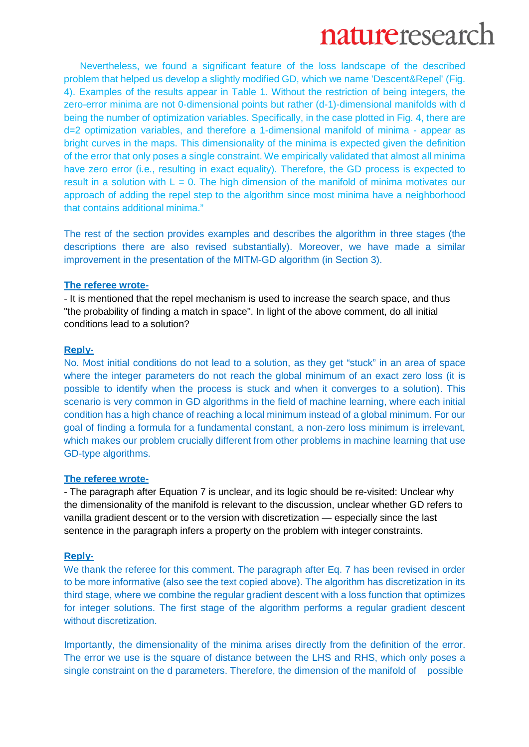Nevertheless, we found a significant feature of the loss landscape of the described problem that helped us develop a slightly modified GD, which we name 'Descent&Repel' (Fig. 4). Examples of the results appear in Table 1. Without the restriction of being integers, the zero-error minima are not 0-dimensional points but rather (d-1)-dimensional manifolds with d being the number of optimization variables. Specifically, in the case plotted in Fig. 4, there are d=2 optimization variables, and therefore a 1-dimensional manifold of minima - appear as bright curves in the maps. This dimensionality of the minima is expected given the definition of the error that only poses a single constraint. We empirically validated that almost all minima have zero error (i.e., resulting in exact equality). Therefore, the GD process is expected to result in a solution with  $L = 0$ . The high dimension of the manifold of minima motivates our approach of adding the repel step to the algorithm since most minima have a neighborhood that contains additional minima."

The rest of the section provides examples and describes the algorithm in three stages (the descriptions there are also revised substantially). Moreover, we have made a similar improvement in the presentation of the MITM-GD algorithm (in Section 3).

#### **The referee wrote-**

- It is mentioned that the repel mechanism is used to increase the search space, and thus "the probability of finding a match in space". In light of the above comment, do all initial conditions lead to a solution?

#### **Reply-**

No. Most initial conditions do not lead to a solution, as they get "stuck" in an area of space where the integer parameters do not reach the global minimum of an exact zero loss (it is possible to identify when the process is stuck and when it converges to a solution). This scenario is very common in GD algorithms in the field of machine learning, where each initial condition has a high chance of reaching a local minimum instead of a global minimum. For our goal of finding a formula for a fundamental constant, a non-zero loss minimum is irrelevant, which makes our problem crucially different from other problems in machine learning that use GD-type algorithms.

## **The referee wrote-**

- The paragraph after Equation 7 is unclear, and its logic should be re-visited: Unclear why the dimensionality of the manifold is relevant to the discussion, unclear whether GD refers to vanilla gradient descent or to the version with discretization — especially since the last sentence in the paragraph infers a property on the problem with integer constraints.

#### **Reply-**

We thank the referee for this comment. The paragraph after Eq. 7 has been revised in order to be more informative (also see the text copied above). The algorithm has discretization in its third stage, where we combine the regular gradient descent with a loss function that optimizes for integer solutions. The first stage of the algorithm performs a regular gradient descent without discretization.

Importantly, the dimensionality of the minima arises directly from the definition of the error. The error we use is the square of distance between the LHS and RHS, which only poses a single constraint on the d parameters. Therefore, the dimension of the manifold of possible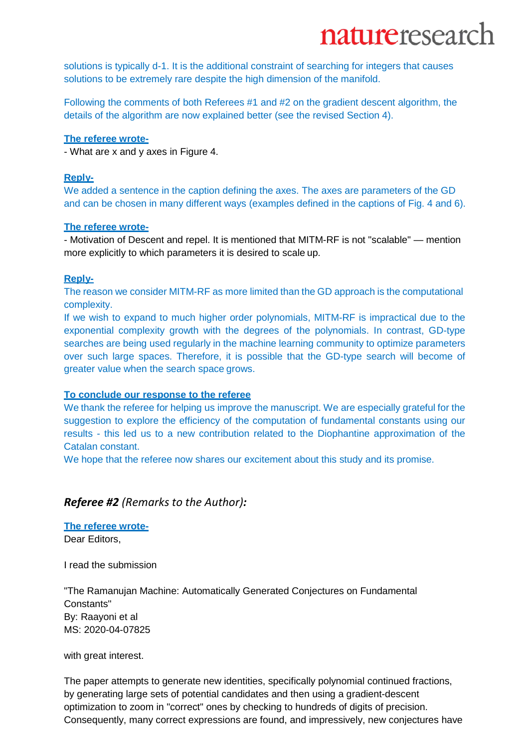solutions is typically d-1. It is the additional constraint of searching for integers that causes solutions to be extremely rare despite the high dimension of the manifold.

Following the comments of both Referees #1 and #2 on the gradient descent algorithm, the details of the algorithm are now explained better (see the revised Section 4).

## **The referee wrote-**

- What are x and y axes in Figure 4.

## **Reply-**

We added a sentence in the caption defining the axes. The axes are parameters of the GD and can be chosen in many different ways (examples defined in the captions of Fig. 4 and 6).

#### **The referee wrote-**

- Motivation of Descent and repel. It is mentioned that MITM-RF is not "scalable" — mention more explicitly to which parameters it is desired to scale up.

## **Reply-**

The reason we consider MITM-RF as more limited than the GD approach is the computational complexity.

If we wish to expand to much higher order polynomials, MITM-RF is impractical due to the exponential complexity growth with the degrees of the polynomials. In contrast, GD-type searches are being used regularly in the machine learning community to optimize parameters over such large spaces. Therefore, it is possible that the GD-type search will become of greater value when the search space grows.

## **To conclude our response to the referee**

We thank the referee for helping us improve the manuscript. We are especially grateful for the suggestion to explore the efficiency of the computation of fundamental constants using our results - this led us to a new contribution related to the Diophantine approximation of the Catalan constant.

We hope that the referee now shares our excitement about this study and its promise.

## *Referee #2 (Remarks to the Author):*

**The referee wrote-**Dear Editors,

I read the submission

"The Ramanujan Machine: Automatically Generated Conjectures on Fundamental Constants" By: Raayoni et al MS: 2020-04-07825

with great interest.

The paper attempts to generate new identities, specifically polynomial continued fractions, by generating large sets of potential candidates and then using a gradient-descent optimization to zoom in "correct" ones by checking to hundreds of digits of precision. Consequently, many correct expressions are found, and impressively, new conjectures have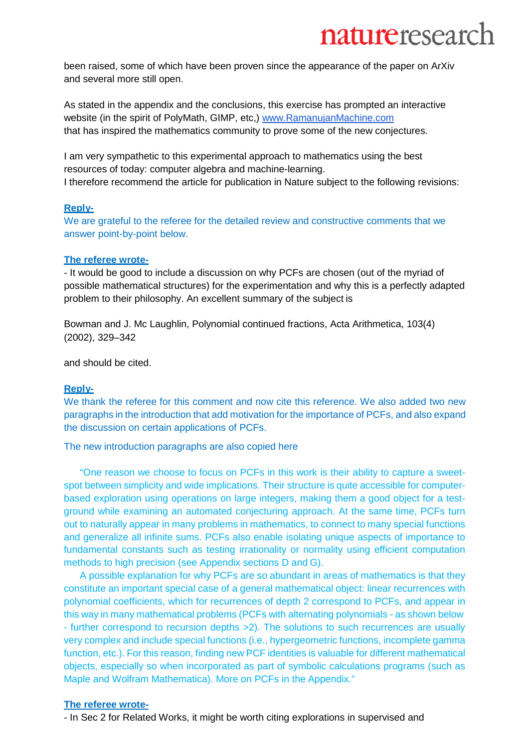been raised, some of which have been proven since the appearance of the paper on ArXiv and several more still open.

As stated in the appendix and the conclusions, this exercise has prompted an interactive website (in the spirit of PolyMath, GIMP, etc,) [www.RamanujanMachine.com](http://www.ramanujanmachine.com/) that has inspired the mathematics community to prove some of the new conjectures.

I am very sympathetic to this experimental approach to mathematics using the best resources of today: computer algebra and machine-learning. I therefore recommend the article for publication in Nature subject to the following revisions:

## **Reply-**

We are grateful to the referee for the detailed review and constructive comments that we answer point-by-point below.

#### **The referee wrote-**

- It would be good to include a discussion on why PCFs are chosen (out of the myriad of possible mathematical structures) for the experimentation and why this is a perfectly adapted problem to their philosophy. An excellent summary of the subject is

Bowman and J. Mc Laughlin, Polynomial continued fractions, Acta Arithmetica, 103(4) (2002), 329–342

and should be cited.

## **Reply-**

We thank the referee for this comment and now cite this reference. We also added two new paragraphs in the introduction that add motivation for the importance of PCFs, and also expand the discussion on certain applications of PCFs.

The new introduction paragraphs are also copied here

"One reason we choose to focus on PCFs in this work is their ability to capture a sweetspot between simplicity and wide implications. Their structure is quite accessible for computerbased exploration using operations on large integers, making them a good object for a testground while examining an automated conjecturing approach. At the same time, PCFs turn out to naturally appear in many problems in mathematics, to connect to many special functions and generalize all infinite sums. PCFs also enable isolating unique aspects of importance to fundamental constants such as testing irrationality or normality using efficient computation methods to high precision (see Appendix sections D and G).

A possible explanation for why PCFs are so abundant in areas of mathematics is that they constitute an important special case of a general mathematical object: linear recurrences with polynomial coefficients, which for recurrences of depth 2 correspond to PCFs, and appear in this way in many mathematical problems (PCFs with alternating polynomials - as shown below - further correspond to recursion depths >2). The solutions to such recurrences are usually very complex and include special functions (i.e., hypergeometric functions, incomplete gamma function, etc.). For this reason, finding new PCF identities is valuable for different mathematical objects, especially so when incorporated as part of symbolic calculations programs (such as Maple and Wolfram Mathematica). More on PCFs in the Appendix."

#### **The referee wrote-**

- In Sec 2 for Related Works, it might be worth citing explorations in supervised and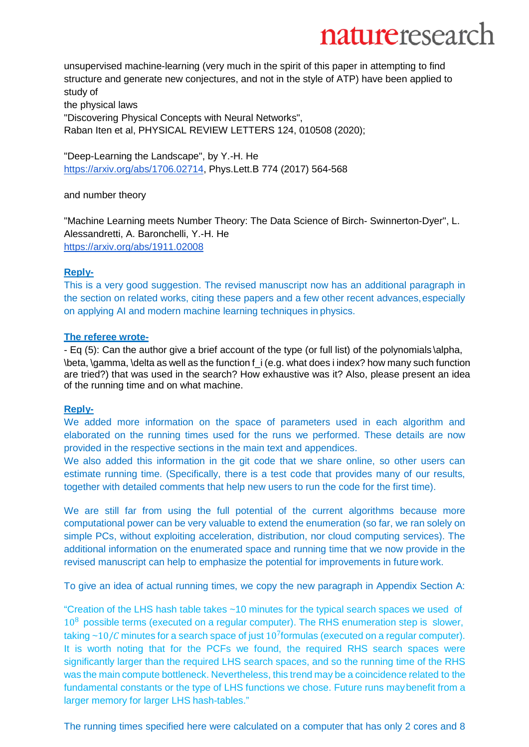unsupervised machine-learning (very much in the spirit of this paper in attempting to find structure and generate new conjectures, and not in the style of ATP) have been applied to study of the physical laws

"Discovering Physical Concepts with Neural Networks", Raban Iten et al, PHYSICAL REVIEW LETTERS 124, 010508 (2020);

"Deep-Learning the Landscape", by Y.-H. He [https://arxiv.org/abs/1706.02714,](https://arxiv.org/abs/1706.02714) Phys.Lett.B 774 (2017) 564-568

and number theory

"Machine Learning meets Number Theory: The Data Science of Birch- Swinnerton-Dyer", L. Alessandretti, A. Baronchelli, Y.-H. He <https://arxiv.org/abs/1911.02008>

## **Reply-**

This is a very good suggestion. The revised manuscript now has an additional paragraph in the section on related works, citing these papers and a few other recent advances, especially on applying AI and modern machine learning techniques in physics.

## **The referee wrote-**

- Eq (5): Can the author give a brief account of the type (or full list) of the polynomials \alpha, \beta, \gamma, \delta as well as the function f\_i (e.g. what does i index? how many such function are tried?) that was used in the search? How exhaustive was it? Also, please present an idea of the running time and on what machine.

## **Reply-**

We added more information on the space of parameters used in each algorithm and elaborated on the running times used for the runs we performed. These details are now provided in the respective sections in the main text and appendices.

We also added this information in the git code that we share online, so other users can estimate running time. (Specifically, there is a test code that provides many of our results, together with detailed comments that help new users to run the code for the first time).

We are still far from using the full potential of the current algorithms because more computational power can be very valuable to extend the enumeration (so far, we ran solely on simple PCs, without exploiting acceleration, distribution, nor cloud computing services). The additional information on the enumerated space and running time that we now provide in the revised manuscript can help to emphasize the potential for improvements in future work.

To give an idea of actual running times, we copy the new paragraph in Appendix Section A:

"Creation of the LHS hash table takes ~10 minutes for the typical search spaces we used of  $10<sup>8</sup>$  possible terms (executed on a regular computer). The RHS enumeration step is slower, taking  $\sim$  10/*C* minutes for a search space of just 10<sup>7</sup>formulas (executed on a regular computer). It is worth noting that for the PCFs we found, the required RHS search spaces were significantly larger than the required LHS search spaces, and so the running time of the RHS was the main compute bottleneck. Nevertheless, this trend may be a coincidence related to the fundamental constants or the type of LHS functions we chose. Future runs maybenefit from a larger memory for larger LHS hash-tables."

The running times specified here were calculated on a computer that has only 2 cores and 8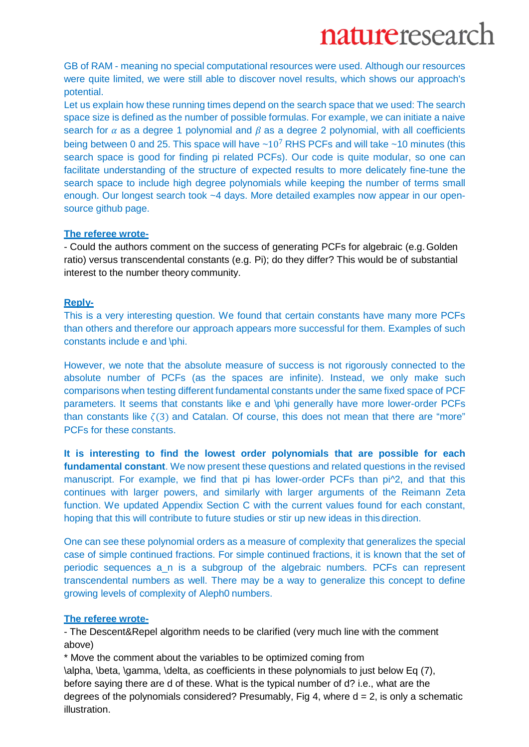GB of RAM - meaning no special computational resources were used. Although our resources were quite limited, we were still able to discover novel results, which shows our approach's potential.

Let us explain how these running times depend on the search space that we used: The search space size is defined as the number of possible formulas. For example, we can initiate a naive search for  $\alpha$  as a degree 1 polynomial and  $\beta$  as a degree 2 polynomial, with all coefficients being between 0 and 25. This space will have  $\sim 10^7$  RHS PCFs and will take  $\sim 10$  minutes (this search space is good for finding pi related PCFs). Our code is quite modular, so one can facilitate understanding of the structure of expected results to more delicately fine-tune the search space to include high degree polynomials while keeping the number of terms small enough. Our longest search took ~4 days. More detailed examples now appear in our opensource github page.

## **The referee wrote-**

- Could the authors comment on the success of generating PCFs for algebraic (e.g. Golden ratio) versus transcendental constants (e.g. Pi); do they differ? This would be of substantial interest to the number theory community.

## **Reply-**

This is a very interesting question. We found that certain constants have many more PCFs than others and therefore our approach appears more successful for them. Examples of such constants include e and \phi.

However, we note that the absolute measure of success is not rigorously connected to the absolute number of PCFs (as the spaces are infinite). Instead, we only make such comparisons when testing different fundamental constants under the same fixed space of PCF parameters. It seems that constants like e and \phi generally have more lower-order PCFs than constants like  $\zeta(3)$  and Catalan. Of course, this does not mean that there are "more" PCFs for these constants.

**It is interesting to find the lowest order polynomials that are possible for each fundamental constant**. We now present these questions and related questions in the revised manuscript. For example, we find that pi has lower-order PCFs than pi^2, and that this continues with larger powers, and similarly with larger arguments of the Reimann Zeta function. We updated Appendix Section C with the current values found for each constant, hoping that this will contribute to future studies or stir up new ideas in this direction.

One can see these polynomial orders as a measure of complexity that generalizes the special case of simple continued fractions. For simple continued fractions, it is known that the set of periodic sequences a\_n is a subgroup of the algebraic numbers. PCFs can represent transcendental numbers as well. There may be a way to generalize this concept to define growing levels of complexity of Aleph0 numbers.

## **The referee wrote-**

- The Descent&Repel algorithm needs to be clarified (very much line with the comment above)

\* Move the comment about the variables to be optimized coming from

\alpha, \beta, \gamma, \delta, as coefficients in these polynomials to just below Eq (7), before saying there are d of these. What is the typical number of d? i.e., what are the degrees of the polynomials considered? Presumably, Fig 4, where  $d = 2$ , is only a schematic illustration.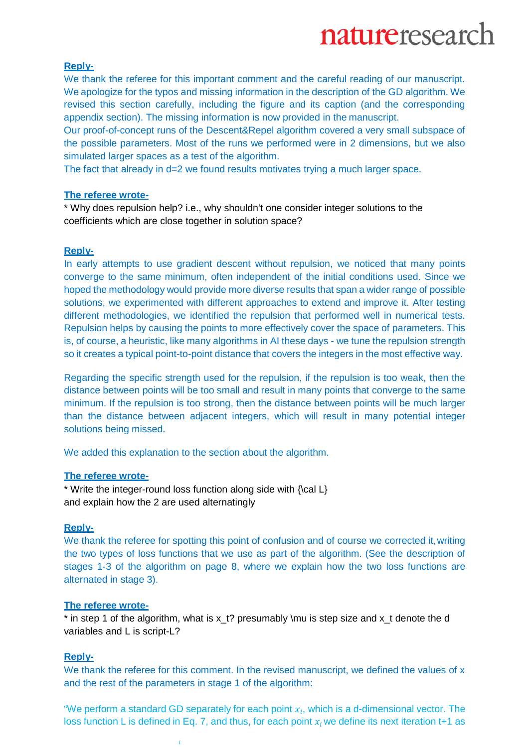### **Reply-**

We thank the referee for this important comment and the careful reading of our manuscript. We apologize for the typos and missing information in the description of the GD algorithm. We revised this section carefully, including the figure and its caption (and the corresponding appendix section). The missing information is now provided in the manuscript.

Our proof-of-concept runs of the Descent&Repel algorithm covered a very small subspace of the possible parameters. Most of the runs we performed were in 2 dimensions, but we also simulated larger spaces as a test of the algorithm.

The fact that already in d=2 we found results motivates trying a much larger space.

#### **The referee wrote-**

\* Why does repulsion help? i.e., why shouldn't one consider integer solutions to the coefficients which are close together in solution space?

### **Reply-**

In early attempts to use gradient descent without repulsion, we noticed that many points converge to the same minimum, often independent of the initial conditions used. Since we hoped the methodology would provide more diverse results that span a wider range of possible solutions, we experimented with different approaches to extend and improve it. After testing different methodologies, we identified the repulsion that performed well in numerical tests. Repulsion helps by causing the points to more effectively cover the space of parameters. This is, of course, a heuristic, like many algorithms in AI these days - we tune the repulsion strength so it creates a typical point-to-point distance that covers the integers in the most effective way.

Regarding the specific strength used for the repulsion, if the repulsion is too weak, then the distance between points will be too small and result in many points that converge to the same minimum. If the repulsion is too strong, then the distance between points will be much larger than the distance between adjacent integers, which will result in many potential integer solutions being missed.

We added this explanation to the section about the algorithm.

### **The referee wrote-**

\* Write the integer-round loss function along side with {\cal L} and explain how the 2 are used alternatingly

## **Reply-**

We thank the referee for spotting this point of confusion and of course we corrected it, writing the two types of loss functions that we use as part of the algorithm. (See the description of stages 1-3 of the algorithm on page 8, where we explain how the two loss functions are alternated in stage 3).

#### **The referee wrote-**

 $*$  in step 1 of the algorithm, what is  $x_t$ ? presumably \mu is step size and  $x_t$  denote the d variables and L is script-L?

## **Reply-**

We thank the referee for this comment. In the revised manuscript, we defined the values of x and the rest of the parameters in stage 1 of the algorithm:

"We perform a standard GD separately for each point  $x_i$ , which is a d-dimensional vector. The loss function L is defined in Eq. 7, and thus, for each point  $x_i$  we define its next iteration t+1 as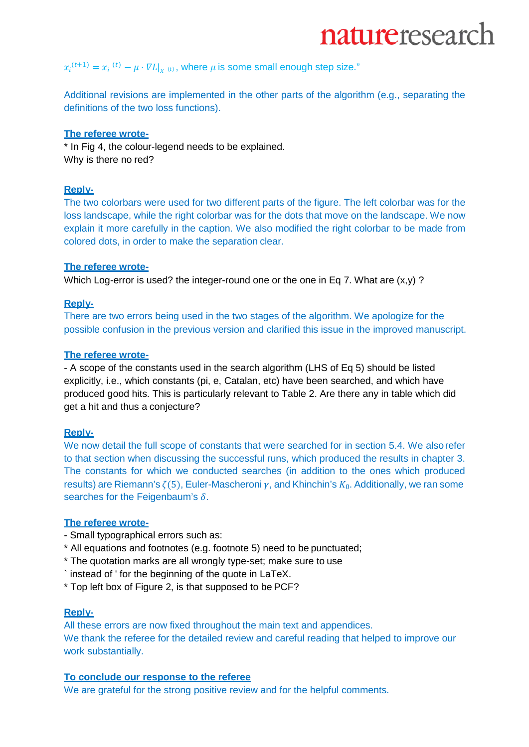## $x_i^{(t+1)} = x_i^{(t)} - \mu \cdot \nabla L \vert_{x^{(t)}}$ , where  $\mu$  is some small enough step size."

Additional revisions are implemented in the other parts of the algorithm (e.g., separating the definitions of the two loss functions).

## **The referee wrote-**

\* In Fig 4, the colour-legend needs to be explained. Why is there no red?

### **Reply-**

The two colorbars were used for two different parts of the figure. The left colorbar was for the loss landscape, while the right colorbar was for the dots that move on the landscape. We now explain it more carefully in the caption. We also modified the right colorbar to be made from colored dots, in order to make the separation clear.

#### **The referee wrote-**

Which Log-error is used? the integer-round one or the one in Eq 7. What are  $(x, y)$  ?

#### **Reply-**

There are two errors being used in the two stages of the algorithm. We apologize for the possible confusion in the previous version and clarified this issue in the improved manuscript.

#### **The referee wrote-**

- A scope of the constants used in the search algorithm (LHS of Eq 5) should be listed explicitly, i.e., which constants (pi, e, Catalan, etc) have been searched, and which have produced good hits. This is particularly relevant to Table 2. Are there any in table which did get a hit and thus a conjecture?

## **Reply-**

We now detail the full scope of constants that were searched for in section 5.4. We alsorefer to that section when discussing the successful runs, which produced the results in chapter 3. The constants for which we conducted searches (in addition to the ones which produced results) are Riemann's  $\zeta(5)$ , Euler-Mascheroni  $\gamma$ , and Khinchin's  $K_0$ . Additionally, we ran some searches for the Feigenbaum's  $\delta$ .

#### **The referee wrote-**

- Small typographical errors such as:
- \* All equations and footnotes (e.g. footnote 5) need to be punctuated;
- \* The quotation marks are all wrongly type-set; make sure to use
- ` instead of ' for the beginning of the quote in LaTeX.
- \* Top left box of Figure 2, is that supposed to be PCF?

## **Reply-**

All these errors are now fixed throughout the main text and appendices. We thank the referee for the detailed review and careful reading that helped to improve our work substantially.

## **To conclude our response to the referee**

We are grateful for the strong positive review and for the helpful comments.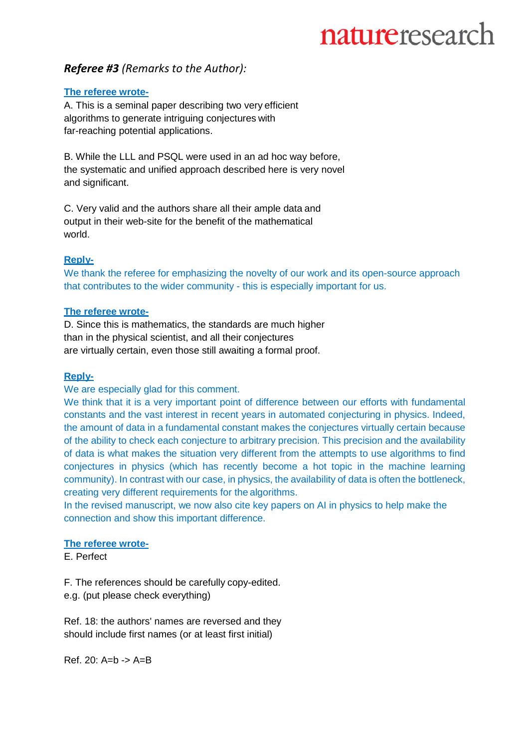## *Referee #3 (Remarks to the Author):*

## **The referee wrote-**

A. This is a seminal paper describing two very efficient algorithms to generate intriguing conjectures with far-reaching potential applications.

B. While the LLL and PSQL were used in an ad hoc way before, the systematic and unified approach described here is very novel and significant.

C. Very valid and the authors share all their ample data and output in their web-site for the benefit of the mathematical world.

## **Reply-**

We thank the referee for emphasizing the novelty of our work and its open-source approach that contributes to the wider community - this is especially important for us.

## **The referee wrote-**

D. Since this is mathematics, the standards are much higher than in the physical scientist, and all their conjectures are virtually certain, even those still awaiting a formal proof.

## **Reply-**

We are especially glad for this comment.

We think that it is a very important point of difference between our efforts with fundamental constants and the vast interest in recent years in automated conjecturing in physics. Indeed, the amount of data in a fundamental constant makes the conjectures virtually certain because of the ability to check each conjecture to arbitrary precision. This precision and the availability of data is what makes the situation very different from the attempts to use algorithms to find conjectures in physics (which has recently become a hot topic in the machine learning community). In contrast with our case, in physics, the availability of data is often the bottleneck, creating very different requirements for the algorithms.

In the revised manuscript, we now also cite key papers on AI in physics to help make the connection and show this important difference.

## **The referee wrote-**

E. Perfect

F. The references should be carefully copy-edited.

e.g. (put please check everything)

Ref. 18: the authors' names are reversed and they should include first names (or at least first initial)

Ref. 20: A=b -> A=B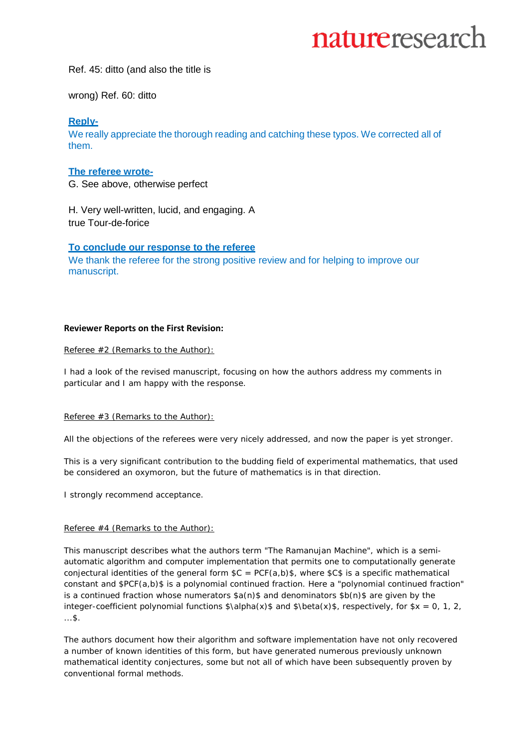Ref. 45: ditto (and also the title is

wrong) Ref. 60: ditto

## **Reply-**

We really appreciate the thorough reading and catching these typos. We corrected all of them.

#### **The referee wrote-**

G. See above, otherwise perfect

H. Very well-written, lucid, and engaging. A true Tour-de-forice

#### **To conclude our response to the referee**

We thank the referee for the strong positive review and for helping to improve our manuscript.

#### **Reviewer Reports on the First Revision:**

Referee #2 (Remarks to the Author):

I had a look of the revised manuscript, focusing on how the authors address my comments in particular and I am happy with the response.

#### Referee #3 (Remarks to the Author):

All the objections of the referees were very nicely addressed, and now the paper is yet stronger.

This is a very significant contribution to the budding field of experimental mathematics, that used be considered an oxymoron, but the future of mathematics is in that direction.

I strongly recommend acceptance.

#### Referee #4 (Remarks to the Author):

This manuscript describes what the authors term "The Ramanujan Machine", which is a semiautomatic algorithm and computer implementation that permits one to computationally generate conjectural identities of the general form  $C = PCF(a,b)$ \$, where  $SC$ \$ is a specific mathematical constant and \$PCF(a,b)\$ is a polynomial continued fraction. Here a "polynomial continued fraction" is a continued fraction whose numerators  $a(n)$  and denominators  $b(n)$  are given by the integer-coefficient polynomial functions  $\alpha(x)\$  and  $\beta(x)\$ , respectively, for  $x = 0, 1, 2$ , ...\$.

The authors document how their algorithm and software implementation have not only recovered a number of known identities of this form, but have generated numerous previously unknown mathematical identity conjectures, some but not all of which have been subsequently proven by conventional formal methods.